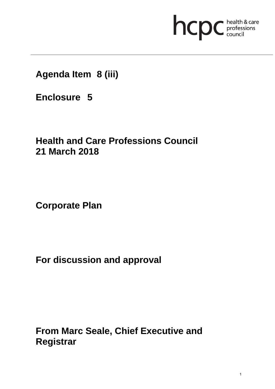# hcpc health & care

# **Agenda Item 8 (iii)**

**Enclosure 5**

# **Health and Care Professions Council 21 March 2018**

**Corporate Plan** 

**For discussion and approval**

**From Marc Seale, Chief Executive and Registrar**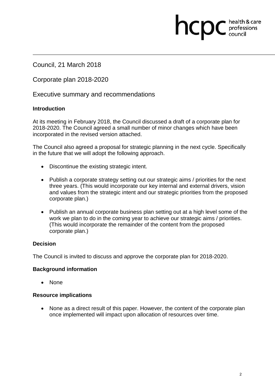Council, 21 March 2018

Corporate plan 2018-2020

Executive summary and recommendations

#### **Introduction**

At its meeting in February 2018, the Council discussed a draft of a corporate plan for 2018-2020. The Council agreed a small number of minor changes which have been incorporated in the revised version attached.

hcpc

health & care professions<br>council

The Council also agreed a proposal for strategic planning in the next cycle. Specifically in the future that we will adopt the following approach.

- Discontinue the existing strategic intent.
- Publish a corporate strategy setting out our strategic aims / priorities for the next three years. (This would incorporate our key internal and external drivers, vision and values from the strategic intent and our strategic priorities from the proposed corporate plan.)
- Publish an annual corporate business plan setting out at a high level some of the work we plan to do in the coming year to achieve our strategic aims / priorities. (This would incorporate the remainder of the content from the proposed corporate plan.)

#### **Decision**

The Council is invited to discuss and approve the corporate plan for 2018-2020.

#### **Background information**

• None

#### **Resource implications**

• None as a direct result of this paper. However, the content of the corporate plan once implemented will impact upon allocation of resources over time.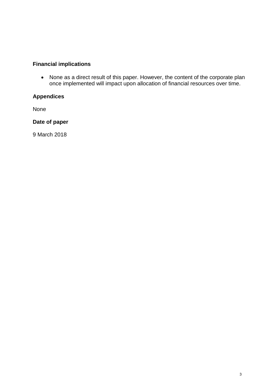# **Financial implications**

• None as a direct result of this paper. However, the content of the corporate plan once implemented will impact upon allocation of financial resources over time.

# **Appendices**

None

**Date of paper** 

9 March 2018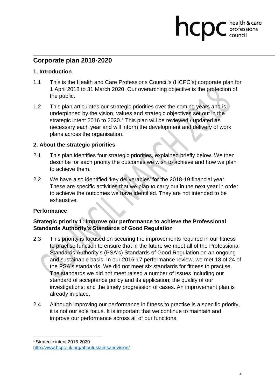### **Corporate plan 2018-2020**

#### **1. Introduction**

1.1 This is the Health and Care Professions Council's (HCPC's) corporate plan for 1 April 2018 to 31 March 2020. Our overarching objective is the protection of the public.

hcp

health & care professions<br>council

1.2 This plan articulates our strategic priorities over the coming years and is underpinned by the vision, values and strategic objectives set out in the strategic intent 2016 to 2020.<sup>1</sup> This plan will be reviewed / updated as necessary each year and will inform the development and delivery of work plans across the organisation.

#### **2. About the strategic priorities**

- 2.1 This plan identifies four strategic priorities, explained briefly below. We then describe for each priority the outcomes we wish to achieve and how we plan to achieve them.
- 2.2 We have also identified 'key deliverables' for the 2018-19 financial year. These are specific activities that we plan to carry out in the next year in order to achieve the outcomes we have identified. They are not intended to be exhaustive.

#### **Performance**

#### **Strategic priority 1: Improve our performance to achieve the Professional Standards Authority's Standards of Good Regulation**

- 2.3 This priority is focused on securing the improvements required in our fitness to practise function to ensure that in the future we meet all of the Professional Standards Authority's (PSA's) Standards of Good Regulation on an ongoing and sustainable basis. In our 2016-17 performance review, we met 18 of 24 of the PSA's standards. We did not meet six standards for fitness to practise. The standards we did not meet raised a number of issues including our standard of acceptance policy and its application; the quality of our investigations; and the timely progression of cases. An improvement plan is already in place.
- 2.4 Although improving our performance in fitness to practise is a specific priority, it is not our sole focus. It is important that we continue to maintain and improve our performance across all of our functions.

 $\overline{a}$ 

<sup>1</sup> Strategic intent 2016-2020

http://www.hcpc-uk.org/aboutus/aimsandvision/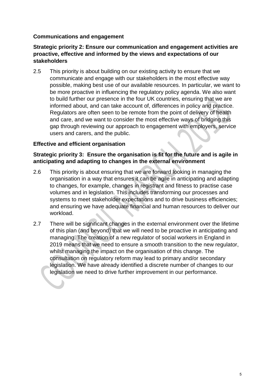#### **Communications and engagement**

#### **Strategic priority 2: Ensure our communication and engagement activities are proactive, effective and informed by the views and expectations of our stakeholders**

2.5 This priority is about building on our existing activity to ensure that we communicate and engage with our stakeholders in the most effective way possible, making best use of our available resources. In particular, we want to be more proactive in influencing the regulatory policy agenda. We also want to build further our presence in the four UK countries, ensuring that we are informed about, and can take account of, differences in policy and practice. Regulators are often seen to be remote from the point of delivery of health and care, and we want to consider the most effective ways of bridging this gap through reviewing our approach to engagement with employers, service users and carers, and the public.

#### **Effective and efficient organisation**

#### **Strategic priority 3: Ensure the organisation is fit for the future and is agile in anticipating and adapting to changes in the external environment**

- 2.6 This priority is about ensuring that we are forward looking in managing the organisation in a way that ensures it can be agile in anticipating and adapting to changes, for example, changes in registrant and fitness to practise case volumes and in legislation. This includes transforming our processes and systems to meet stakeholder expectations and to drive business efficiencies; and ensuring we have adequate financial and human resources to deliver our workload.
- 2.7 There will be significant changes in the external environment over the lifetime of this plan (and beyond) that we will need to be proactive in anticipating and managing. The creation of a new regulator of social workers in England in 2019 means that we need to ensure a smooth transition to the new regulator, whilst managing the impact on the organisation of this change. The consultation on regulatory reform may lead to primary and/or secondary legislation. We have already identified a discrete number of changes to our legislation we need to drive further improvement in our performance.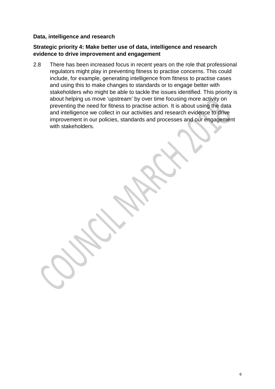#### **Data, intelligence and research**

#### **Strategic priority 4: Make better use of data, intelligence and research evidence to drive improvement and engagement**

2.8 There has been increased focus in recent years on the role that professional regulators might play in preventing fitness to practise concerns. This could include, for example, generating intelligence from fitness to practise cases and using this to make changes to standards or to engage better with stakeholders who might be able to tackle the issues identified. This priority is about helping us move 'upstream' by over time focusing more activity on preventing the need for fitness to practise action. It is about using the data and intelligence we collect in our activities and research evidence to drive improvement in our policies, standards and processes and our engagement with stakeholders.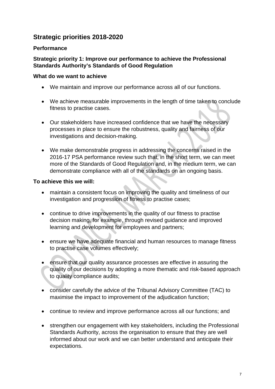# **Strategic priorities 2018-2020**

#### **Performance**

#### **Strategic priority 1: Improve our performance to achieve the Professional Standards Authority's Standards of Good Regulation**

#### **What do we want to achieve**

- We maintain and improve our performance across all of our functions.
- We achieve measurable improvements in the length of time taken to conclude fitness to practise cases.
- Our stakeholders have increased confidence that we have the necessary processes in place to ensure the robustness, quality and fairness of our investigations and decision-making.
- We make demonstrable progress in addressing the concerns raised in the 2016-17 PSA performance review such that, in the short term, we can meet more of the Standards of Good Regulation and, in the medium term, we can demonstrate compliance with all of the standards on an ongoing basis.

- maintain a consistent focus on improving the quality and timeliness of our investigation and progression of fitness to practise cases;
- continue to drive improvements in the quality of our fitness to practise decision making, for example, through revised guidance and improved learning and development for employees and partners;
- ensure we have adequate financial and human resources to manage fitness to practise case volumes effectively;
- ensure that our quality assurance processes are effective in assuring the quality of our decisions by adopting a more thematic and risk-based approach to quality compliance audits;
- consider carefully the advice of the Tribunal Advisory Committee (TAC) to maximise the impact to improvement of the adjudication function;
- continue to review and improve performance across all our functions; and
- strengthen our engagement with key stakeholders, including the Professional Standards Authority, across the organisation to ensure that they are well informed about our work and we can better understand and anticipate their expectations.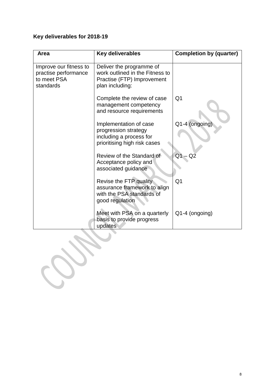| Area                                                                       | <b>Key deliverables</b>                                                                                      | <b>Completion by (quarter)</b> |
|----------------------------------------------------------------------------|--------------------------------------------------------------------------------------------------------------|--------------------------------|
| Improve our fitness to<br>practise performance<br>to meet PSA<br>standards | Deliver the programme of<br>work outlined in the Fitness to<br>Practise (FTP) Improvement<br>plan including: |                                |
|                                                                            | Complete the review of case<br>management competency<br>and resource requirements                            | Q <sub>1</sub>                 |
|                                                                            | Implementation of case<br>progression strategy<br>including a process for<br>prioritising high risk cases    | Q1-4 (ongoing)                 |
|                                                                            | Review of the Standard of<br>Acceptance policy and<br>associated guidance                                    | Q1<br>Q2                       |
|                                                                            | Revise the FTP quality<br>assurance framework to align<br>with the PSA standards of<br>good regulation       | Q <sub>1</sub>                 |
|                                                                            | Meet with PSA on a quarterly<br>basis to provide progress<br>updates                                         | Q1-4 (ongoing)                 |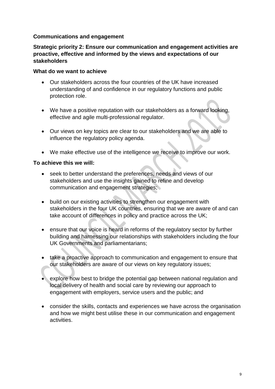#### **Communications and engagement**

#### **Strategic priority 2: Ensure our communication and engagement activities are proactive, effective and informed by the views and expectations of our stakeholders**

#### **What do we want to achieve**

- Our stakeholders across the four countries of the UK have increased understanding of and confidence in our regulatory functions and public protection role.
- We have a positive reputation with our stakeholders as a forward looking, effective and agile multi-professional regulator.
- Our views on key topics are clear to our stakeholders and we are able to influence the regulatory policy agenda.
- We make effective use of the intelligence we receive to improve our work.

- seek to better understand the preferences, needs and views of our stakeholders and use the insights gained to refine and develop communication and engagement strategies;
- build on our existing activities to strengthen our engagement with stakeholders in the four UK countries, ensuring that we are aware of and can take account of differences in policy and practice across the UK;
- ensure that our voice is heard in reforms of the regulatory sector by further building and harnessing our relationships with stakeholders including the four UK Governments and parliamentarians;
- take a proactive approach to communication and engagement to ensure that our stakeholders are aware of our views on key regulatory issues;
- explore how best to bridge the potential gap between national regulation and local delivery of health and social care by reviewing our approach to engagement with employers, service users and the public; and
- consider the skills, contacts and experiences we have across the organisation and how we might best utilise these in our communication and engagement activities.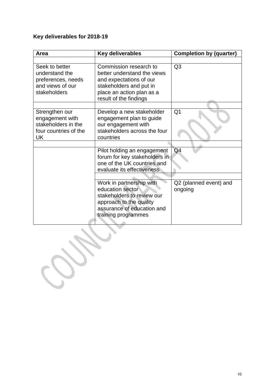| Area                                                                                       | <b>Key deliverables</b>                                                                                                                                            | <b>Completion by (quarter)</b>    |
|--------------------------------------------------------------------------------------------|--------------------------------------------------------------------------------------------------------------------------------------------------------------------|-----------------------------------|
|                                                                                            |                                                                                                                                                                    |                                   |
| Seek to better<br>understand the<br>preferences, needs<br>and views of our<br>stakeholders | Commission research to<br>better understand the views<br>and expectations of our<br>stakeholders and put in<br>place an action plan as a<br>result of the findings | Q <sub>3</sub>                    |
|                                                                                            |                                                                                                                                                                    |                                   |
| Strengthen our<br>engagement with<br>stakeholders in the<br>four countries of the<br>UK    | Develop a new stakeholder<br>engagement plan to guide<br>our engagement with<br>stakeholders across the four<br>countries                                          | Q <sub>1</sub>                    |
|                                                                                            |                                                                                                                                                                    |                                   |
|                                                                                            | Pilot holding an engagement<br>forum for key stakeholders in<br>one of the UK countries and<br>evaluate its effectiveness                                          | Q <sub>4</sub>                    |
|                                                                                            |                                                                                                                                                                    |                                   |
|                                                                                            | Work in partnership with<br>education sector<br>stakeholders to review our<br>approach to the quality<br>assurance of education and<br>training programmes         | Q2 (planned event) and<br>ongoing |

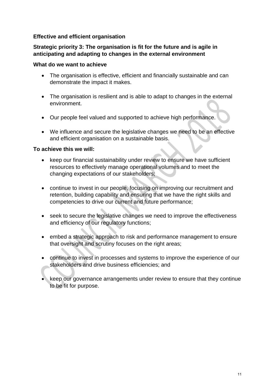#### **Effective and efficient organisation**

#### **Strategic priority 3: The organisation is fit for the future and is agile in anticipating and adapting to changes in the external environment**

#### **What do we want to achieve**

- The organisation is effective, efficient and financially sustainable and can demonstrate the impact it makes.
- The organisation is resilient and is able to adapt to changes in the external environment.
- Our people feel valued and supported to achieve high performance.
- We influence and secure the legislative changes we need to be an effective and efficient organisation on a sustainable basis.

- keep our financial sustainability under review to ensure we have sufficient resources to effectively manage operational volumes and to meet the changing expectations of our stakeholders;
- continue to invest in our people, focusing on improving our recruitment and retention, building capability and ensuring that we have the right skills and competencies to drive our current and future performance;
- seek to secure the legislative changes we need to improve the effectiveness and efficiency of our regulatory functions;
- embed a strategic approach to risk and performance management to ensure that oversight and scrutiny focuses on the right areas;
- continue to invest in processes and systems to improve the experience of our stakeholders and drive business efficiencies; and
- keep our governance arrangements under review to ensure that they continue to be fit for purpose.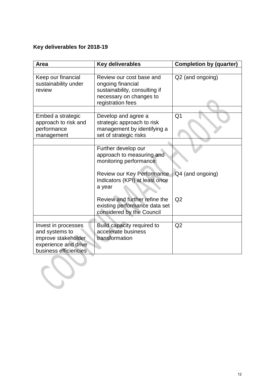| Area                                                                                                          | <b>Key deliverables</b>                                                                                                        | <b>Completion by (quarter)</b> |
|---------------------------------------------------------------------------------------------------------------|--------------------------------------------------------------------------------------------------------------------------------|--------------------------------|
|                                                                                                               |                                                                                                                                |                                |
| Keep our financial<br>sustainability under<br>review                                                          | Review our cost base and<br>ongoing financial<br>sustainability, consulting if<br>necessary on changes to<br>registration fees | Q2 (and ongoing)               |
|                                                                                                               |                                                                                                                                |                                |
| Embed a strategic<br>approach to risk and<br>performance<br>management                                        | Develop and agree a<br>strategic approach to risk<br>management by identifying a<br>set of strategic risks                     | Q <sub>1</sub>                 |
|                                                                                                               |                                                                                                                                |                                |
|                                                                                                               | Further develop our<br>approach to measuring and<br>monitoring performance:                                                    |                                |
|                                                                                                               | Review our Key Performance<br>Indicators (KPI) at least once<br>a year                                                         | Q4 (and ongoing)               |
|                                                                                                               | Review and further refine the<br>existing performance data set<br>considered by the Council                                    | Q2                             |
|                                                                                                               |                                                                                                                                |                                |
| Invest in processes<br>and systems to<br>improve stakeholder<br>experience and drive<br>business efficiencies | Build capacity required to<br>accelerate business<br>transformation                                                            | Q2                             |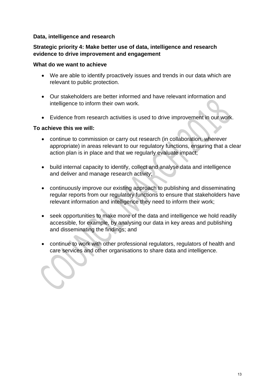#### **Data, intelligence and research**

#### **Strategic priority 4: Make better use of data, intelligence and research evidence to drive improvement and engagement**

#### **What do we want to achieve**

- We are able to identify proactively issues and trends in our data which are relevant to public protection.
- Our stakeholders are better informed and have relevant information and intelligence to inform their own work.
- Evidence from research activities is used to drive improvement in our work.

- continue to commission or carry out research (in collaboration, wherever appropriate) in areas relevant to our regulatory functions, ensuring that a clear action plan is in place and that we regularly evaluate impact;
- build internal capacity to identify, collect and analyse data and intelligence and deliver and manage research activity;
- continuously improve our existing approach to publishing and disseminating regular reports from our regulatory functions to ensure that stakeholders have relevant information and intelligence they need to inform their work;
- seek opportunities to make more of the data and intelligence we hold readily accessible, for example, by analysing our data in key areas and publishing and disseminating the findings; and
- continue to work with other professional regulators, regulators of health and care services and other organisations to share data and intelligence.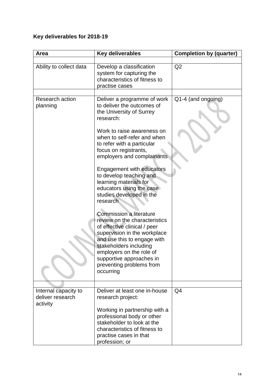| Area                                                 | Key deliverables                                                                                                                                                                                                                                                                          | <b>Completion by (quarter)</b> |
|------------------------------------------------------|-------------------------------------------------------------------------------------------------------------------------------------------------------------------------------------------------------------------------------------------------------------------------------------------|--------------------------------|
|                                                      |                                                                                                                                                                                                                                                                                           |                                |
| Ability to collect data                              | Develop a classification<br>system for capturing the<br>characteristics of fitness to<br>practise cases                                                                                                                                                                                   | Q2                             |
|                                                      |                                                                                                                                                                                                                                                                                           |                                |
| <b>Research action</b><br>planning                   | Deliver a programme of work<br>to deliver the outcomes of<br>the University of Surrey<br>research:<br>Work to raise awareness on<br>when to self-refer and when                                                                                                                           | Q1-4 (and ongoing)             |
|                                                      | to refer with a particular<br>focus on registrants,<br>employers and complainants                                                                                                                                                                                                         |                                |
|                                                      | <b>Engagement with educators</b><br>to develop teaching and<br>learning materials for<br>educators using the case<br>studies developed in the<br>research                                                                                                                                 |                                |
|                                                      | <b>Commission a literature</b><br>review on the characteristics<br>of effective clinical / peer<br>supervision in the workplace<br>and use this to engage with<br>stakeholders including<br>employers on the role of<br>supportive approaches in<br>preventing problems from<br>occurring |                                |
|                                                      |                                                                                                                                                                                                                                                                                           |                                |
| Internal capacity to<br>deliver research<br>activity | Deliver at least one in-house<br>research project:                                                                                                                                                                                                                                        | Q <sub>4</sub>                 |
|                                                      | Working in partnership with a<br>professional body or other<br>stakeholder to look at the<br>characteristics of fitness to<br>practise cases in that<br>profession; or                                                                                                                    |                                |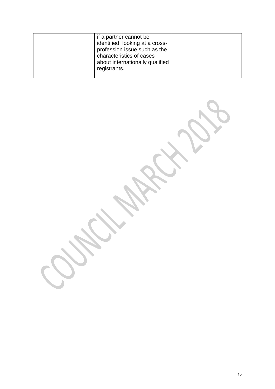$\mathbf{S}$